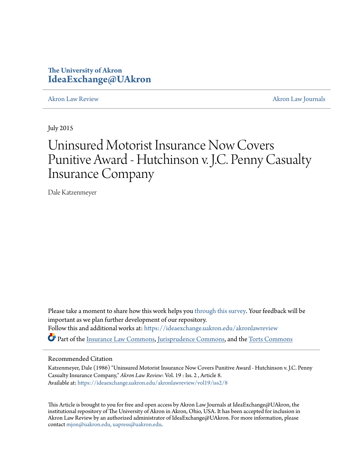# **The University of Akron [IdeaExchange@UAkron](https://ideaexchange.uakron.edu?utm_source=ideaexchange.uakron.edu%2Fakronlawreview%2Fvol19%2Fiss2%2F8&utm_medium=PDF&utm_campaign=PDFCoverPages)**

[Akron Law Review](https://ideaexchange.uakron.edu/akronlawreview?utm_source=ideaexchange.uakron.edu%2Fakronlawreview%2Fvol19%2Fiss2%2F8&utm_medium=PDF&utm_campaign=PDFCoverPages) [Akron Law Journals](https://ideaexchange.uakron.edu/akronlawjournals?utm_source=ideaexchange.uakron.edu%2Fakronlawreview%2Fvol19%2Fiss2%2F8&utm_medium=PDF&utm_campaign=PDFCoverPages)

July 2015

# Uninsured Motorist Insurance Now Covers Punitive Award - Hutchinson v. J.C. Penny Casualty Insurance Company

Dale Katzenmeyer

Please take a moment to share how this work helps you [through this survey.](http://survey.az1.qualtrics.com/SE/?SID=SV_eEVH54oiCbOw05f&URL=https://ideaexchange.uakron.edu/akronlawreview/vol19/iss2/8) Your feedback will be important as we plan further development of our repository. Follow this and additional works at: [https://ideaexchange.uakron.edu/akronlawreview](https://ideaexchange.uakron.edu/akronlawreview?utm_source=ideaexchange.uakron.edu%2Fakronlawreview%2Fvol19%2Fiss2%2F8&utm_medium=PDF&utm_campaign=PDFCoverPages) Part of the [Insurance Law Commons](http://network.bepress.com/hgg/discipline/607?utm_source=ideaexchange.uakron.edu%2Fakronlawreview%2Fvol19%2Fiss2%2F8&utm_medium=PDF&utm_campaign=PDFCoverPages), [Jurisprudence Commons,](http://network.bepress.com/hgg/discipline/610?utm_source=ideaexchange.uakron.edu%2Fakronlawreview%2Fvol19%2Fiss2%2F8&utm_medium=PDF&utm_campaign=PDFCoverPages) and the [Torts Commons](http://network.bepress.com/hgg/discipline/913?utm_source=ideaexchange.uakron.edu%2Fakronlawreview%2Fvol19%2Fiss2%2F8&utm_medium=PDF&utm_campaign=PDFCoverPages)

## Recommended Citation

Katzenmeyer, Dale (1986) "Uninsured Motorist Insurance Now Covers Punitive Award - Hutchinson v. J.C. Penny Casualty Insurance Company," *Akron Law Review*: Vol. 19 : Iss. 2 , Article 8. Available at: [https://ideaexchange.uakron.edu/akronlawreview/vol19/iss2/8](https://ideaexchange.uakron.edu/akronlawreview/vol19/iss2/8?utm_source=ideaexchange.uakron.edu%2Fakronlawreview%2Fvol19%2Fiss2%2F8&utm_medium=PDF&utm_campaign=PDFCoverPages)

This Article is brought to you for free and open access by Akron Law Journals at IdeaExchange@UAkron, the institutional repository of The University of Akron in Akron, Ohio, USA. It has been accepted for inclusion in Akron Law Review by an authorized administrator of IdeaExchange@UAkron. For more information, please contact [mjon@uakron.edu, uapress@uakron.edu.](mailto:mjon@uakron.edu,%20uapress@uakron.edu)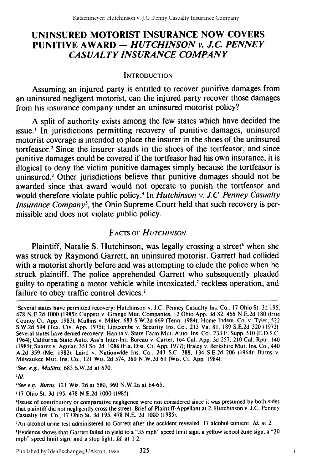# **UNINSURED MOTORIST INSURANCE NOW COVERS PUNITIVE AWARD -** *HUTCHINSON v. J.C. PENNEY CASUAL TY INSURANCE COMPANY*

## **INTRODUCTION**

Assuming an injured party is entitled to recover punitive damages from an uninsured negligent motorist, can the injured party recover those damages from his insurance company under an uninsured motorist policy?

**A** split of authority exists among the few states which have decided the issue.' In jurisdictions permitting recovery of punitive damages, uninsured motorist coverage is intended to place the insurer in the shoes of the uninsured tortfeasor.2 Since the insurer stands in the shoes of the tortfeasor, and since punitive damages could be covered if the tortfeasor had his own insurance, it is illogical to deny the victim punitive damages simply because the tortfeasor is uninsured.' Other jurisdictions believe that punitive damages should not be awarded since that award would not operate to punish the tortfeasor and would therefore violate public policy.' In *Hutchinson v. J.C Penney Casualty Insurance Company<sup>5</sup>*, the Ohio Supreme Court held that such recovery is permissible and does not violate public policy.

# FACTS OF HUTCHINSON

Plaintiff, Natalie S. Hutchinson, was legally crossing a street<sup>6</sup> when she was struck **by** Raymond Garrett, an uninsured motorist. Garrett had collided with a motorist shortly before and was attempting to elude the police when he struck plaintiff. The police apprehended Garrett who subsequently pleaded guilty to operating a motor vehicle while intoxicated,<sup>7</sup> reckless operation, and failure to obey traffic control devices.<sup>8</sup>

 $^2$ See, e.g., Mullins, 683 S.W.2d at 670.

**31d.**

*'See* e.g.. Burns. 121 Wis. 2d at 580, 360 N.W.2d at 64-65.

**117** Ohio St. 3d 195, 478 N.E.2d 1000 **(1985).**

'An alcohol-urine test administered to Garrett after the accident revealed **.17** alcohol content. **Id.** at 2.

'Evidence shows that Garrett failed to yield to a **"35** mph" speed limit sign, a yellow school zone sign, a "20 mph" speed limit sign. and a stop light. **Id.** at 1-2.

<sup>&#</sup>x27;Several states have permitted recovery: Hutchinson v. J.C. Penney Casualty Ins. Co., 17 Ohio St. 3d 195, 478 N.E.2d 1000 (1985); Cuppett v. Grange Mut. Companies, 12 Ohio App. 3d 82, 466 N.E.2d 180 (Erie County Ct. App. 1983); Mullins v. Miller, 683 **S.W.2d** 669 (Tenn. 1984); Home Indem. Co. v. Tyler, 522 S.W.2d 594 (Tex. Civ. App. 1975); Lipscombe v. Security Ins. Co., 213 Va. 81, 189 S.E.2d 320 **(1972).** Several states have denied recovery: Hanna v. State Farm Mut. Auto. Ins. Co., 233 F. Supp. 510 (E.D.S.C. 1964); California State Auto. Ass'n Inter-Ins. Bureau v. Carter, 164 Cal. App. 3d 257, 210 Cal. Rptr. 140 (1985); Suarez v. Aguiar, 351 So. 2d. 1086 (Fla. Dist. Ct. App. 1977); Braley v. Berkshire Mut. Ins. Co., 440 A.2d 359 (Me. 1982); Laird v. Nationwide Ins. Co., 243 S.C. 388, 134 S.E.2d 206 (1964): Burns v. Milwaukee Mut. Ins. Co., 121 Wis. 2d 574, 360 N.W.2d 61 (Wis. Ct. App. 1984).

blssues of contributory or comparative negligence were not considered since it was presumed **by** both sides that plaintiff did not negligently cross the street. Brief of Plaintiff-Appellant at 2, Hutchinson v. J.C. Penney Casualty Ins. Co., 17 Ohio St. 3d 195, 478 N.E. 2d 1000 **(1985).**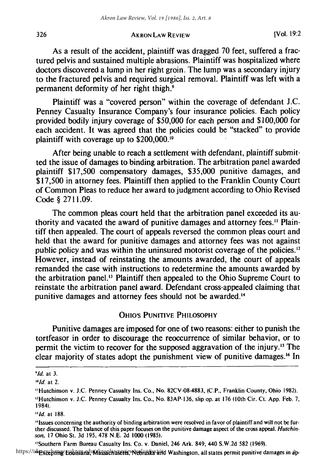As a result of the accident, plaintiff was dragged **70** feet, suffered a fractured pelvis and sustained multiple abrasions. Plaintiff was hospitalized where doctors discovered a lump in her right groin. The lump was a secondary injury to the fractured pelvis and required surgical removal. Plaintiff was left with a permanent deformity of her right thigh.'

Plaintiff was a "covered person" within the coverage of defendant J.C. Penney Casualty Insurance Company's four insurance policies. Each policy provided bodily injury coverage of \$50,000 for each person and \$100,000 for each accident. It was agreed that the policies could be "stacked" to provide plaintiff with coverage up to  $$200,000$ .<sup>10</sup>

After being unable to reach a settlement with defendant, plaintiff submitted the issue of damages to binding arbitration. The arbitration panel awarded plaintiff \$17,500 compensatory damages, \$35,000 punitive damages, and \$17,500 in attorney fees. Plaintiff then applied to the Franklin County Court of Common Pleas to reduce her award to judgment according to Ohio Revised Code § 2711.09.

The common pleas court held that the arbitration panel exceeded its authority and vacated the award of punitive damages and attorney fees." Plaintiff then appealed. The court of appeals reversed the common pleas court and held that the award for punitive damages and attorney fees was not against public policy and was within the uninsured motorist coverage of the policies.'<sup>2</sup> However, instead of reinstating the amounts awarded, the court of appeals remanded the case with instructions to redetermine the amounts awarded by the arbitration panel.'3 Plaintiff then appealed to the Ohio Supreme Court to reinstate the arbitration panel award. Defendant cross-appealed claiming that punitive damages and attorney fees should not be awarded."

### OHIO'S **PUNITIVE** PHILOSOPHY

Punitive damages are imposed for one of two reasons: either to punish the tortfeasor in order to discourage the reoccurrence of similar behavior, or to permit the victim to recover for the supposed aggravation of the injury.'5 The clear majority of states adopt the punishment view of punitive damages.<sup>16</sup> In

*'lid.* at 2.

"Southern Farm Bureau Casualty Ins. Co. v. Daniel, 246 Ark. 849, 440 S.W.2d 582 (1969). https://ideaexchange.uakron.edu/Massachuserie.www.haskera/id Washington, all states permit punitive damages in ap-

*<sup>91</sup>d.* at 3.

<sup>&</sup>quot;Hutchinson v. J.C. Penney Casualty Ins. Co., No. **82CV-08-4883, (C.P.,** Franklin County, Ohio 1982). "Hutchinson v. J.C. Penney Casualty Ins. Co., No. 83AP-136, slip op. at 176 (10th Cir. Ct. App. Feb. 7, 1984).

**<sup>&</sup>quot;Id.** at 188.

<sup>&</sup>quot;Issues concerning the authority of binding arbitration were resolved in favor of plaintiff and will not be further discussed. The balance of this paper focuses on the punitive damage aspect of the cross appeal. Hutchinson, 17 Ohio St. 3d 195, **478** N.E. 2d 1000 **(1985).**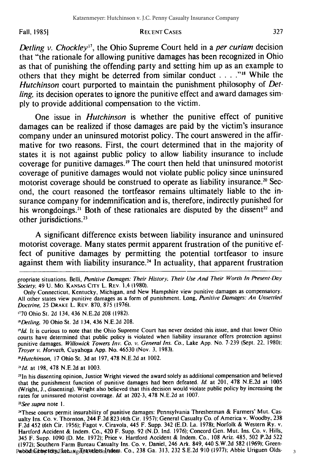#### **RECENT CASES** Fall, **19851**

Detling v. Chockley<sup>17</sup>, the Ohio Supreme Court held in a *per curiam* decision that "the rationale for allowing punitive damages has been recognized in Ohio as that of punishing the offending party and setting him up as an example to others that they might be deterred from similar conduct **. \*... ,** While the *Hutchinson* court purported to maintain the punishment philosophy of *Det*ling, its decision operates to ignore the punitive effect and award damages sim**ply** to provide additional compensation to the victim.

One issue in *Hutchinson* is whether the punitive effect of punitive damages can be realized if those damages are paid **by** the victim's insurance company under an uninsured motorist policy. The court answered in the affirmative for two reasons. First, the court determined that in the majority of states it is not against public policy to allow liability insurance to include coverage for punitive damages.<sup>19</sup> The court then held that uninsured motorist coverage of punitive damages would not violate public policy since uninsured motorist coverage should be construed to operate as liability insurance.<sup>20</sup> Second, the court reasoned the tortfeasor remains ultimately liable to the insurance company for indemnification and is, therefore, indirectly punished for his wrongdoings.<sup>21</sup> Both of these rationales are disputed by the dissent<sup>22</sup> and other jurisdictions.<sup>23</sup>

**A** significant difference exists between liability insurance and uninsured motorist coverage. Many states permit apparent frustration of the punitive effect of punitive damages **by** permitting the potential tortfeasor to insure against them with liability insurance.<sup>24</sup> In actuality, that apparent frustration

**1770** Ohio St. 2d 134, 436 N.E.2d 208 (1982).

"Detling, 70 Ohio St. 2d 134, 436 N.E.2d 208.

<sup>19</sup>Id. It is curious to note that the Ohio Supreme Court has never decided this issue, and that lower Ohio courts have determined that public policy is violated when liability insurance offers protection against punitive damages. Willowick Towers Inv. Co. v. General Ins. *Co.,* Lake App. No. **7-239** (Sept. 22, 1980); Troyer v. *Horvath,* Cuyahoga **App.** No. 46530 (Nov. **3, 1983).**

"Hutchinson, **17** Ohio St. **3d** at **197, 478 N.E.2d** at 1002.

*"Id.* at **198, 478** N.E.2d at **1003.**

<sup>22</sup>In his dissenting opinion, Justice Wright viewed the award solely as additional compensation and believed that the punishment function of punitive damages had been defeated. Id. at 201, **478 N.E.2d** at **1005** (Wright, **J.,** dissenting). Wright also believed that this decision would violate public policy **by** increasing the rates for uninsured motorist coverage. **Id.** at 202-3, **478 N.E.2d** at **1007.**

*"See* supra note **1.**

2'These courts permit insurability of punitive damages: Pennsylvania Thresherman **&** Farmers' Mut. Casualty Ins. Co. v. Thornton, 244 F.2d **823** (4th Cir. 1957); General Casualty Co. of America v. Woodby, **238 F.2d** 452 (6th Cir. **1956);** Fagot v. Ciravola, 445 F. Supp. 342 (E.D. La. **1978);** Norfolk **&** Western Ry. v. Hartford Accident **&** Indem. Co., 420 F. Supp. **92 (N.D.** Ind. **1976);** Concord Gen. Mut. Ins. Co. v. Hills, 345 F. Supp. **1090 (D.** Me. **1972);** Price v. Hartford Accident **&** Indem. Co., **108** Ariz. 485, **502 P.2d** 522 **(1972);** Southern Farm Bureau Casualty Ins. Co. v. Daniel, 246 Ark. 849, 440 S.W.2d **582 (1969);** Green-Published by Leky Elnd ang To UAkron, Indem. Co., 238 Ga. 313, 232 S.E.2d 910 (1977); Abbie Uriguen Olds-

propriate situations. Belli, Punitive Damages: Their History. Their Use And Their Worth In Present-Day Society. 49 U. Mo. **KANSAS CITY** L. REV. 1,4 **(1980).**

Only Connecticut, Kentucky, Michigan, and New Hampshire view punitive damages as compensatory. All other states view punitive damages as a form of punishment. Long, Punitive Damages: An Unsettled Doctrine, 25 DRAKE L. REV. 870, 875 (1976).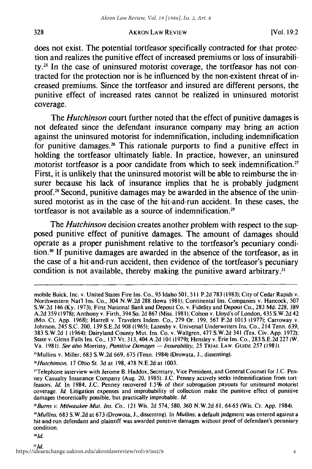does not exist. The potential tortfeasor specifically contracted for that protection and realizes the punitive effect of increased premiums or loss of insurability.<sup>25</sup> In the case of uninsured motorist coverage, the tortfeasor has not contracted for the protection nor is he influenced **by** the non-existent threat of increased premiums. Since the tortfeasor and insured are different persons, the punitive effect of increased rates cannot be realized in uninsured motorist coverage.

The *Hutchinson* court further noted that the effect of punitive damages is not defeated since the defendant insurance company may bring an action against the uninsured motorist for indemnification, including indemnification for punitive damages.<sup>26</sup> This rationale purports to find a punitive effect in holding the tortfeasor ultimately liable. In practice, however, an uninsured motorist tortfeasor is a poor candidate from which to seek indemnification." First, it is unlikely that the uninsured motorist will be able to reimburse the insurer because his lack of insurance implies that he is probably judgment proof." Second, punitive damages may be awarded in the absence of the uninsured motorist as in the case of the hit-and-run accident. In these cases, the tortfeasor is not available as a source of indemnification.<sup>29</sup>

The *Hutchinson* decision creates another problem with respect to the supposed punitive effect of punitive damages. The amount of damages should operate as a proper punishment relative to the tortfeasor's pecuniary condition.<sup>30</sup> If punitive damages are awarded in the absence of the tortfeasor, as in the case of a hit-and-run accident, then evidence of the tortfeasor's pecuniary condition is not available, thereby making the punitive award arbitrary.<sup>31</sup>

<sup>25</sup>Mullins v. Miller, **683 S.W.2d 669, 675** (Tenn. 1984) (Drowata, **J.,** dissenting).

*'6Hutchinson,* **17** Ohio St. **3d** at **198, 478 N.E.2d** at **1003.**

*<sup>2</sup>*Burns v. Milwaukee Mut. Ins. Co., 121 Wis. **2d** 574, **580, 360 N.W.2d 61, 64-65** (Wis. Ct. **App.** 1984).

mobile Buick, Inc. v. United States Fire Ins. Co., **95** Idaho **501,511 P.2d 783 (1983);** City of Cedar Rapids v. Northwestern Nat'l Ins. Co., 304 **N.W.2d 288** (Iowa **1981);** Continental Ins. Companies v. Hancock, **507 S.W.2d** 146 **(Ky. 1973);** First National Bank and Deposit Co. v. Fidelity and Deposit Co., **283 Md. 228,** *389* **A.2d 359 (1978);** Anthony v. Firth, 394 So. **2d 867** (Miss. **198 1);** Colson v. Lloyd's of London, 435 **S.W.2d** 42 (Mo. Ct. **App. 1968);** Harrell v. Travelers Indem. Co., **279** Or. **199, 567 P.2d 1013 (1977);** Carroway v. Johnson, 245 **S.C.** 200, **139 S.E.2d 908 (1965);** Lazenby v. Universal Underwriters Ins. Co., 214 Tenn. **639, 383 S.W.2d 1** (1964); Dairyland County Mut. Ins. Co. v. Wallgren, **477 S.W.2d** 341 (Tex. Civ. **App. 1972);** State v. Glenn Falls Ins. Co., **137** Vt. 313,404 **A.2d 101 (1979);** Hensley v. Erie Ins. Co., **283 S.E.2d 227** (W. Va. **1981).** *See also* Morrissy, Punitive Damages *- Insurability.* **25 TRIAL LAW. GUIDE 257 (1981).**

<sup>2</sup>Telephone interview with Jerome B. Haddox, Secretary, Vice President, and General Counsel for **J.C.** Penney Casualty Insurance Company (Aug. 20, **1985). J.C.** Penney actively seeks indemnification from tortfeasors. **Id.** In 1984, **J.C.** Penney recovered **1.5%** of their subrogation payouts for uninsured motorist coverage. **Id.** Litigation expenses and improbability of collection make the punitive effect of punitive damages theoretically possible, but practically improbable. Id.

*<sup>9</sup>Mullins,* **683 S.W.2d** at **673** (Drowota, **J.,** dissenting). In Mullins, a default judgment was entered against a hit-and-run defendant and plaintiff was awarded punitive damages without proof of defendant's pecuniary condition.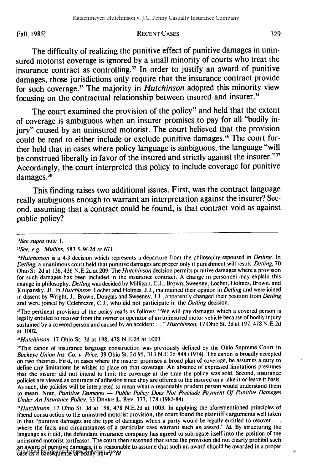#### Fall, **19851 RECENT CASES**

The difficulty of realizing the punitive effect of punitive damages in uninsured motorist coverage is ignored **by** a small minority of courts who treat the insurance contract as controlling.<sup>32</sup> In order to justify an award of punitive damages, those jurisdictions only require that the insurance contract provide for such coverage. 3 The majority in *Hutchinson* adopted this minority view focusing on the contractual relationship between insured and insurer.

The court examined the provision of the policy<sup>35</sup> and held that the extent of coverage is ambiguous when an insurer promises to pay for all "bodily injury" caused **by** an uninsured motorist. The court believed that the provision could be read to either include or exclude punitive damages.<sup>36</sup> The court further held that in cases where policy language is ambiguous, the language "will be construed liberally in favor of the insured and strictly against the insurer."<sup>37</sup> Accordingly, the court interpreted this policy to include coverage for punitive damages.<sup>38</sup>

This finding raises two additional issues. First, was the contract language really ambiguous enough to warrant an interpretation against the insurer? Second, assuming that a contract could be found, is that contract void as against public policy?

<sup>35</sup>The pertinent provision of the policy reads as follows: "We will pay damages which a covered person is legally entitled to recover from the owner or operator of an uninsured motor vehicle because of bodily injury sustained by a covered person and caused by an accident..." Hutchinson, 17 Ohio St. 3d at 197, 478 N.E.2d at 1002.

*-Hutchinson,* 17 Ohio St. 3d at 198, 478 N.E.2d at 1003.

<sup>&</sup>lt;sup>32</sup>See supra note 1.

 $^{33}$ See, e.g., Mullins, 683 S.W.2d at 671.

*<sup>-</sup>Hutchinson* is a 4-3 decision which represents a departure from the philosophy espoused in Detling. In Detling, a unanimous court held that punitive damages are proper only if punishment will result. Detling, 70 Ohio St. 2d at 136, 436 N.E.2d at 209. The *Hutchinson* decision permits punitive damages where a provision for such damages has been included in the insurance contract. A change in personnel may explain this change in philosophy. Detling was decided by Milligan, C.J., Brown, Sweeney, Locher, Holmes, Brown, and Krupansky, **JJ.** In Hutchinson, Locher and Holmes, **J.J.,** maintained their opinion in Detling and were joined in dissent by Wright, J., Brown, Douglas and Sweeney, **J.J.,** apparently changed their position from Detling and were joined by Celebrezze, **C.J.,** who did not participate in the Detling decision.

<sup>&</sup>quot;This canon of insurance language construction was previously defined by the Ohio Supreme Court in Buckeye Union Ins. Co. v. Price, 39 Ohio St. 2d 95, 313 N.E.2d 844 (1974). The canon is broadly accepted on two theories. First, in cases where the insurer promises a broad plan of coverage, he assumes a duty to define any limitations he wishes to place on that coverage. An absence of expressed limitations presumes that the insurer did not intend to limit the coverage at the time the policy was sold. Second, insurance policies are viewed as contracts of adhesion since they are offered to the insured on a take-it-or-leave-it basis. As such, the policies will be interpreted to mean what a reasonably prudent person would understand them to mean. Note, Punitive Damages **-** Public Policy Does Not Preclude Payment Of Punitive Damages Under An Insurance Policy, 33 **DRAKE** L. REV. **177, 178 (1983-84).**

*<sup>-&#</sup>x27;Hutchinson,* 17 Ohio St. 3d at 198, 478 N.E.2d at 1003. In applying the aforementioned principles of liberal construction to the uninsured motorist provision, the court found the plaintiff's arguments well taken in that "punitive damages are the type of damages which a party would be legally entitled to recover **...** where the facts and circumstances of a particular case warrant such an award." **Id.** By structuring the language as it did, the defendant insurance company has agreed to subrogate itself into the position of the uninsured motorist tortfeasor. The court then reasoned that since the provision did not clearly prohibit such an award of punitive damages, it is reasonable to assume that such an award should be awarded in a proper an award of bunnyc damages, it is reasona<br>Published by Islands of bodily injury? *Id.*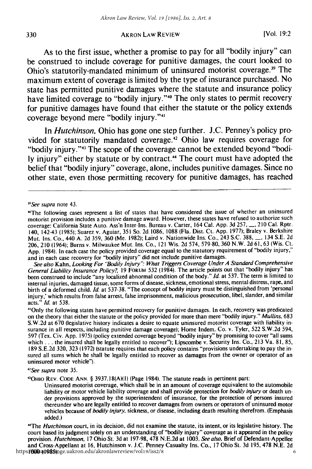As to the first issue, whether a promise to pay for all "bodily injury" can be construed to include coverage for punitive damages, the court looked to Ohio's statutorily-mandated minimum of uninsured motorist coverage.<sup>39</sup> The maximum extent of coverage is limited **by** the type of insurance purchased. No state has permitted punitive damages where the statute and insurance policy have limited coverage to "bodily injury.""" **The only states to permit recovery** for punitive damages have found that either the statute or the policy extends coverage beyond mere "bodily injury.""

In *Hutchinson,* Ohio has gone one step further. **J.C.** Penney's policy provided for statutorily mandated coverage.<sup> $42$ </sup> Ohio law requires coverage for "bodily injury."<sup>43</sup> The scope of the coverage cannot be extended beyond "bodi**ly** injury" either **by** statute or **by** contract." The court must have adopted the belief that "bodily injury" coverage, alone, includes punitive damages. Since no other state, even those permitting recovery for punitive damages, has reached

See also Kahn, *Looking For "Bodily Injury": What Triggers Coverage Under A Standard Comprehensive General Liability Insurance Policy?,* 19 **FORUM** 532 (1984). The article points out that "bodily injury" has been construed to include "any localized abnormal condition of the body." *Id.* at 537. The term is limited to internal injuries, damaged tissue, some forms of disease, sickness, emotional stress, mental distress, rape, and birth of a deformed child. *Id.* at 537-38. "The concept of bodily injury must be distinguished from 'personal injury,' which results from false arrest, false imprisonment, malicious prosecution, libel, slander, and similar acts." *Id.* at 538.

'Only the following states have permitted recovery for punitive damages. In each, recovery was predicated on the theory that either the statute or the policy provided for more than mere "bodily injury." *Mullins.* 683 S.W.2d at 670 (legislative history indicates a desire to equate uninsured motorist coverage with liability insurance in all respects, including punitive damage coverage); Home Indem. Co. v. Tyler, 522 S.W.2d 594, 597 (Tex. Civ. App. 1975) (policy extended coverage beyond "bodily injury" by promising to cover "all sums which . . . the insured shall be legally entitled to recover"); Lipscombe v. Security Ins. Co., 213 Va. 81, 85, 189 S.E.2d 320, 323 (1972) (statute requires that each policy contains "provisions undertaking to pay the insured all sums which he shall be legally entitled to recover as damages from the owner or operator of an uninsured motor vehicle").

*1 2 See supra* note **35.**

**\* 3 OHo** REV. **CODE ANN.** § 3937.18(A)(1) (Page 1984). The statute reads in pertinent part:

Uninsured motorist coverage, which shall be in an amount of coverage equivalent to the automobile liability or motor vehicle liability coverage and shall provide protection for *bodily* injury or death under provisions approved by the superintendent of insurance, for the protection of persons insured thereunder who are legally entitled to recover damages from owners or operators of uninsured motor vehicles because of *bodily injury,* sickness, or disease, including death resulting therefrom. (Emphasis added.)

"The *Hutchinson* court, in its decision, did not examine the statute, its intent, or its legislative history. The court based its judgment solely on an understanding of "bodily injury" coverage as it appeared in the policy provision. *Hutchinson,* 17 Ohio St. 3d at 197-98, 478 N.E.2d at 1003. *See also,* Brief of Defendant-Appellee and Cross-Appellant at 16, Hutchinson v. **J.C.** Penney Casualty Ins. Co., 17 Ohio St. 3d 195, 478 N.E. 2d https://0004985pmge.uakron.edu/akronlawreview/vol19/iss2/8

*<sup>&</sup>quot;See* supra note 43.

<sup>&#</sup>x27;The following cases represent a list of states that have considered the issue of whether an uninsured motorist provision includes a punitive damage award. However, these states have refused to authorize such coverage: California State Auto. Ass'n Inter-Ins. Bureau v. Carter, 164 Cal. App. 3d 257, **-,** 210 Cal. Rptr. 140, 142-43 (1985); Suarez v. Aguiar, 351 So. 2d 1086, 1088 (Fla. Dist. Ct. App. 1977); Braley v. Berkshire Mut. Ins. Co., 440 A. 2d 359, 360 (Me. 1982); Laird v. Nationwide Ins. Co., 243 S.C. 388, **-,** 134 S.E. 2d 206, 210 (1964); Burns v. Milwaukee Mut. Ins. Co., 121 Wis. 2d 574, 579-80, 360 N.W. 2d 61, 63 (Wis. Ct. App. 1984). In each case the policy provided coverage equal to the statutory requirement of "bodily injury," and in each case recovery for "bodily injury" did not include punitive damages.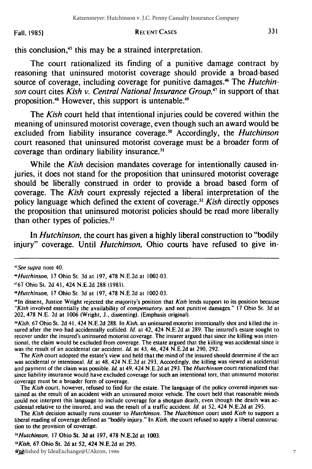Fall, **19851**

#### **RECENT CASES**

this conclusion,<sup>45</sup> this may be a strained interpretation.

The court rationalized its finding of a punitive damage contract **by** reasoning that uninsured motorist coverage should provide a broad-based source of coverage, including coverage for punitive damages.<sup>46</sup> The *Hutchinson* court cites *Kish v. Central National Insurance Group,47* in support of that proposition.<sup>48</sup> However, this support is untenable.<sup>49</sup>

The *Kish* court held that intentional injuries could be covered within the meaning of uninsured motorist coverage, even though such an award would be excluded from liability insurance coverage.<sup>50</sup> Accordingly, the *Hutchinson* court reasoned that uninsured motorist coverage must be a broader form of coverage than ordinary liability insurance.<sup>51</sup>

While the *Kish* decision mandates coverage for intentionally caused injuries, it does not stand for the proposition that uninsured motorist coverage should be liberally construed in order to provide a broad based form of coverage. The *Kish* court expressly rejected a liberal interpretation of the policy language which defined the extent of coverage. <sup>2</sup>*Kish* directly opposes the proposition that uninsured motorist policies should be read more liberally than other types of policies.<sup>53</sup>

In *Hutchinson,* the court has given a **highly** liberal construction to "bodily injury" coverage. Until *Hutchinson,* Ohio courts have refused to give in-

*"See* supra note 40.

*"Hutchinson,* 17 Ohio St. 3d at 197, **478** N.E.2d at 1003.

*<sup>\*</sup>Hutchinson,* 17 Ohio St. 3d at 197, 478 N.E.2d at 1002-03.

**<sup>1167</sup>** Ohio St. **2d** 41, 424 N.E.2d **288** (1981).

*<sup>&</sup>quot;Hutchinson,* 17 Ohio St. 3d at 197, **478** N.E.2d at 1002-03.

<sup>41</sup>n dissent, Justice Wright rejected the majority's position that *Kish* lends support to its position because "Kish involved essentially the availability of *compensatory,* and not punitive damages." 17 Ohio St. 3d at 202, 478 N.E. 2d at 1006 (Wright, **J.,** dissenting). (Emphasis original).

*<sup>-&</sup>quot;Kish.* 67 Ohio St. 2d 41,424 N.E.2d 288. In Kish. an uninsured motorist intentionally shot and killed the insured after the two had accidentally collided. **Id.** at 42, 424 N.E.2d at 289. The insured's estate sought to recover under the insured's uninsured motorist coverage. The insurer argued that since the killing was intentional, the claim would be excluded from coverage. The estate argued that the killing was accidental since it was the result of an accidental car accident. Id. at 43, 46, 424 N.E.2d at 290, 292.

The Kish court adopted the estate's view and held that the mind of the insured should determine if the act was accidental or intentional. **Id.** at 48, 424 N.E.2d at 293, Accordingly, the killing was viewed as accidental and payment of the claim was possible. **Id.** at 49, 424 N.E.2d at 293. The Hutchinson court rationalized that since liability insurance would have excluded coverage for such an intentional tort, that uninsured motorist coverage must be a broader form of coverage.

The Kish court, however, refused to find for the estate. The language of the policy covered injuries sustained as the result of an accident with an uninsured motor vehicle. The court held that reasonable minds could not interpret this language to include coverage for a shotgun death, even though the death was accidental relative to the insured, and was the result of a traffic accident. **Id.** at **52,** 424 N.E.2d at 295.

The Kish decision actually runs counter to *Hutchinson.* The Hutchinson court used Kish to support a liberal reading of coverage defined as "bodily injury." In Kish, the court refused to apply a liberal construction to the provision of coverage.

<sup>&</sup>lt;sup>52</sup> Kish, 67 Ohio St. 2d at 52, 424 N.E.2d at 295. *31d.* Published by IdeaExchange@UAkron, 1986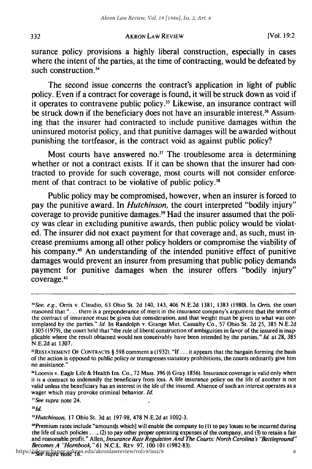surance policy provisions a highly liberal construction, especially in cases where the intent of the parties, at the time of contracting, would be defeated by such construction.<sup>54</sup>

The second issue concerns the contract's application in light of public policy. Even if a contract for coverage is found, it will be struck down as void if it operates to contravene public policy.55 Likewise, an insurance contract will be struck down if the beneficiary does not have an insurable interest.<sup>56</sup> Assuming that the insurer had contracted to include punitive damages within the uninsured motorist policy, and that punitive damages will be awarded without punishing the tortfeasor, is the contract void as against public policy?

Most courts have answered no." The troublesome area is determining whether or not a contract exists. If it can be shown that the insurer had contracted to provide for such coverage, most courts will not consider enforcement of that contract to be violative of public policy.<sup>58</sup>

Public policy may be compromised, however, when an insurer is forced to pay the punitive award. In *Hutchinson,* the court interpreted "bodily injury" coverage to provide punitive damages.<sup>59</sup> Had the insurer assumed that the policy was clear in excluding punitive awards, then public policy would be violated. The insurer did not exact payment for that coverage and, as such, must increase premiums among all other policy holders or compromise the viability of his company.<sup>60</sup> An understanding of the intended punitive effect of punitive damages would prevent an insurer from presuming that public policy demands payment for punitive damages when the insurer offers "bodily injury" coverage.<sup>61</sup>

*"See supra* note 24.

*<sup>&</sup>quot;See, e.g.,* Orris v. Claudio, 63 Ohio St. 2d 140, 143, 406 N.E.2d 1381, 1383 (1980). In *Orris,* the court reasoned that **"...** . there is a preponderance of merit in the insurance company's argument that the terms of the contract of insurance must be given due consideration, and that weight must be given to what was contemplated by the parties." *Id.* In Randolph v. Grange Mut. Casualty Co., 57 Ohio St. 2d 25, 385 N.E.2d 1305 (1979), the court held that "the rule of liberal construction of ambiguities in favor of the insured is inapplicable where the result obtained would not conceivably have been intended by the parties." *Id.* at 28, 385 N.E.2d at 1307.

<sup>&</sup>quot;RESTATEMENT OF **CONTRACTS** § 598 comment a **(1932).** "If... it appears that the bargain forming the basis of the action is opposed to public policy or transgresses statutory prohibitions, the courts ordinarily give him no assistance."

<sup>&</sup>quot;Loomis v. Eagle Life & Health Ins. Co., 72 Mass. 396 (6 Gray 1856). Insurance coverage is valid only when it is a contract to indemnify the beneficiary from loss. A life insurance policy on the life of another is not valid unless the beneficiary has an interest in the life of the insured. Absence of such an interest operates as a wager which may provoke criminal behavior. *Id*

*<sup>591</sup>d.*

*<sup>&</sup>quot;Hutchinson,* 17 Ohio St. 3d at 197-98, 478 N.E.2d at 1002-3.

 $P$ Premium rates include "amounts which] will enable the company to (1) to pay losses to be incurred during the life of such policies..., (2) to pay other proper operating expenses of the company, and (3) to retain a fair and reasonable profit." Allen, *Insurance Rate Regulation And The Courts: North Carolinas "Battleground" Becomes A "Hornbook, "* 61 N.C.L. REV. 97, 100-101 (1982-83).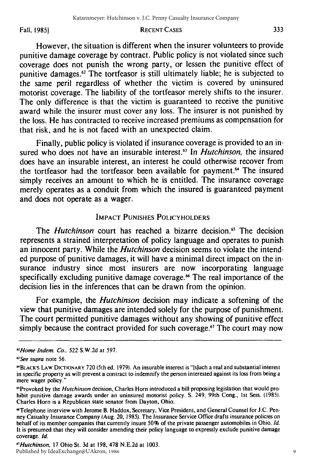#### Fall, **1985) RECENT CASES**

However, the situation is different when the insurer volunteers to provide punitive damage coverage by contract. Public policy is not violated since such coverage does not punish the wrong party, or lessen the punitive effect of punitive damages.<sup>62</sup> The tortfeasor is still ultimately liable; he is subjected to the same peril regardless of whether the victim is covered by uninsured motorist coverage. The liability of the tortfeasor merely shifts to the insurer. The only difference is that the victim is guaranteed to receive the punitive award while the insurer must cover any loss. The insurer is not punished by the loss. He has contracted to receive increased premiums as compensation for that risk, and he is not faced with an unexpected claim.

Finally, public policy is violated if insurance coverage is provided to an insured who does not have an insurable interest.<sup>63</sup> In *Hutchinson*, the insured does have an insurable interest, an interest he could otherwise recover from the tortfeasor had the tortfeasor been available for payment.<sup>64</sup> The insured simply receives an amount to which he is entitled. The insurance coverage merely operates as a conduit from which the insured is guaranteed payment and does not operate as a wager.

## IMPACT **PUNISHES** POLICYHOLDERS

The *Hutchinson* court has reached a bizarre decision.<sup>65</sup> The decision represents a strained interpretation of policy language and operates to punish an innocent party. While the *Hutchinson* decision seems to violate the intended purpose of punitive damages, it will have a minimal direct impact on the insurance industry since most insurers are now incorporating language specifically excluding punitive damage coverage.<sup>66</sup> The real importance of the decision lies in the inferences that can be drawn from the opinion.

For example, the *Hutchinson* decision may indicate a softening of the view that punitive damages are intended solely for the purpose of punishment. The court permitted punitive damages without any showing of punitive effect simply because the contract provided for such coverage.<sup>67</sup> The court may now

*<sup>&</sup>quot;Home indem. Co.,* **522 S.W.2d** at 597.

*<sup>6</sup>See supra* note **56.**

<sup>&</sup>quot;BLACKS LAw DICTIONARY **720** (5th ed. **1979).** An insurable interest is "[sluch a real and substantial interest in specific property as will prevent a contract to indemnify the person interested against its loss from being a mere wager policy."

<sup>6</sup>Provoked **by** the *Hutchinson* decision, Charles Horn introduced a bill proposing legislation that would prohibit punitive damage awards under an uninsured motorist policy. **S.** 249, 99th Cong., **Ist** Sess. **(1985).** Charles Horn is a Republican state senator from Dayton, Ohio.

<sup>&</sup>quot;Telephone interview with Jerome B. Haddox, Secretary, Vice President, and General Counsel for J.C. Penney Casualty Insurance Company (Aug. 20, 1985). The Insurance Service Office drafts insurance policies on behalf of its member companies that currently insure **50%** of the private passenger automobiles in Ohio. **Id.** It is presumed that they will consider amending their policy language to expressly exclude punitive damage coverage. **Id.**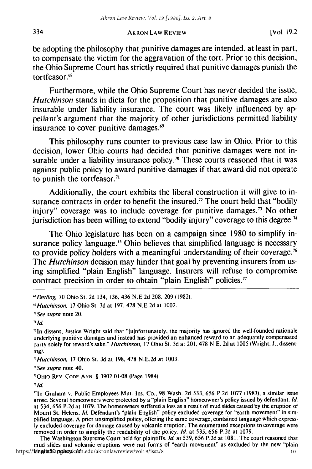be adopting the philosophy that punitive damages are intended, at least in part, to compensate the victim for the aggravation of the tort. Prior to this decision, the Ohio Supreme Court has strictly required that punitive damages punish the tortfeasor.<sup>68</sup>

Furthermore, while the Ohio Supreme Court has never decided the issue, *Hutchinson* stands in dicta for the proposition that punitive damages are also insurable under liability insurance. The court was likely influenced **by** appellant's argument that the majority of other jurisdictions permitted liability insurance to cover punitive damages.<sup>69</sup>

This philosophy runs counter to previous case law in Ohio. Prior to this decision, lower Ohio courts had decided that punitive damages were not insurable under a liability insurance policy.<sup>70</sup> These courts reasoned that it was against public policy to award punitive damages if that award did not operate to punish the tortfeasor."

Additionally, the court exhibits the liberal construction it will give to insurance contracts in order to benefit the insured.<sup>72</sup> The court held that "bodily injury" coverage was to include coverage for punitive damages.<sup>73</sup> No other jurisdiction has been willing to extend "bodily injury" coverage to this degree.<sup>7</sup>

The Ohio legislature has been on a campaign since **1980** to simplify insurance policy language.<sup>75</sup> Ohio believes that simplified language is necessary to provide policy holders with a meaningful understanding of their coverage.<sup>76</sup> The *Hutchinson* decision may hinder that goal **by** preventing insurers from using simplified "plain English" language. Insurers will refuse to compromise contract precision in order to obtain "plain English" policies. $<sup>n</sup>$ </sup>

*'See* supra note 20.

 $n/d$ .

"Hutchinson. **17** Ohio St. **3d** at **198, 478 N.E.2d** at **1003.**

<sup>74</sup>See supra note 40.

"OHIO REV. **CODE ANN. § 3902.01-08** (Page 1984).

 $^{\prime\prime}$ *Id.* 

"in Graham v. Public Employees Mut. Ins. Co., **98** Wash. **2d 533, 656 P.2d 1077 (1983),** a similar issue arose. Several homeowners were protected **by** a "plain English" homeowner's policy issued **by** defendant. **Id.** at 534, **656 P.2d** at **1079.** The homeowners suffered a loss as a result of mud slides caused **by** the eruption of Mount St. Helens. **Id.** Defendant's "plain English" policy excluded coverage for "earth movement" in simplified language. **A** prior unsimplified policy, offering the same coverage, contained language which express**ly** excluded coverage for damage caused **by** volcanic eruption. The enumerated exceptions to coverage were removed in order to simplify the readability of the policy. **Id.** at **535, 656 P.2d** at **1079.**

The Washington Supreme Court held for plaintiffs. **Id.** at **539, 656 P.2d** at **1081.** The court reasoned that mud slides and volcanic eruptions were not forms of "earth movement" as excluded **by** the new "plain https://**English apglicy.k/d**n.edu/akronlawreview/vol19/iss2/8 10

<sup>&#</sup>x27;"Detling, **70** Ohio St. **2d** 134, **136,** 436 **N.E.2d 208, 209 (1982).**

<sup>&#</sup>x27; 9 Hutchinson. **17** Ohio St. **3d** at **197, 478 N.E.2d** at 1002.

<sup>&</sup>quot;in dissent, Justice Wright said that "[ujnfortunately, the majority has ignored the well-founded rationale underlying punitive damages and instead has provided an enhanced reward to an adequately compensated party solely for reward's sake." Hutchinson, **17** Ohio St. **3d** at 201, **478 N.E. 2d** at **1005** (Wright, **J.,** dissenting).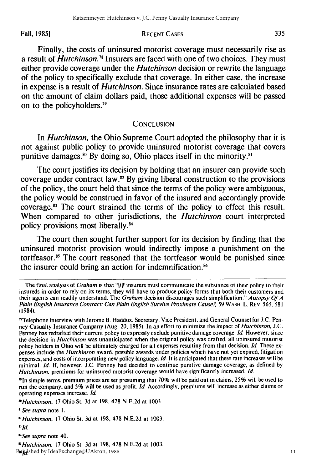Fall, **19851**

#### **RECENT** CASES

Finally, the costs of uninsured motorist coverage must necessarily rise as a result of *Hutchinson."8* Insurers are faced with one of two choices. They must either provide coverage under the *Hutchinson* decision or rewrite the language of the policy to specifically exclude that coverage. In either case, the increase in expense is a result of *Hutchinson.* Since insurance rates are calculated based on the amount of claim dollars paid, those additional expenses will be passed on to the policyholders.79

#### **CONCLUSION**

In *Hutchinson,* the Ohio Supreme Court adopted the philosophy that it is not against public policy to provide uninsured motorist coverage that covers punitive damages.<sup>80</sup> By doing so, Ohio places itself in the minority.<sup>81</sup>

The court justifies its decision **by** holding that an insurer can provide such coverage under contract law.<sup>32</sup> By giving liberal construction to the provisions of the policy, the court held that since the terms of the policy were ambiguous, the policy would be construed in favor of the insured and accordingly provide coverage.<sup>83</sup> The court strained the terms of the policy to effect this result. When compared to other jurisdictions, the *Hutchinson* court interpreted policy provisions most liberally.8

The court then sought further support for its decision **by** finding that the uninsured motorist provision would indirectly impose a punishment on the tortfeasor.<sup>85</sup> The court reasoned that the tortfeasor would be punished since the insurer could bring an action for indemnification.<sup>86</sup>

"In simple terms, premium prices are set presuming that **70%** will be paid out in claims, 25% will be used to run the company, and **5%** will be used as profit. *Id.* Accordingly, premiums will increase as either claims or operating expenses increase. **Id.** *<sup>8</sup>*Hutchinson, 17 Ohio St. 3d at 198, 478 N.E.2d at 1003.

*"See supra* note I.

*3Id.*

*uSee supra* note 40.

*"Hutchinson,* **17** Ohio St. **3d** at **198, 478** N.E.2d at **1003.**

Published by IdeaExchange@UAkron, 1986

The final analysis of Graham is that "filf insurers must communicate the substance of their policy to their insureds in order to rely on its terms, they will have to produce policy forms that both their customers and their agents can readily understand. The Graham decision discourages such simplification." *Autopsy Of A* Plain English Insurance Contract: Can Plain English Survive Proximate Cause? 59 WASH. L. REV. 565, 581 (1984).

<sup>&</sup>quot;Telephone interview with Jerome B. Haddox, Secretary, Vice President, and General Counsel for **J.C.** Penney Casualty Insurance Company (Aug. 20, **1985).** In an effort to minimize the impact of *Hutchinson.* **J.C.** Penney has redrafted their current policy to expressly exclude punitive damage coverage. **Id.** However, since the decision in *Hutchinson* was unanticipated when the original policy was drafted, all uninsured motorist policy holders in Ohio will be ultimately charged for all expenses resulting from that decision. *Id.* These expenses include the *Hutchinson* award, possible awards under policies which have not yet expired, litigation expenses, and costs of incorporating new policy language. **id.** It is anticipated that these rate increases will be minimal. *Id.* If, however, J.C. Penney had decided to continue punitive damage coverage, as defined by Hutchinson. premiums for uninsured motorist coverage would have significantly increased. **Id.**

*<sup>&</sup>quot;Hutchinson,* 17 Ohio St. 3d at 198, 478 N.E.2d at 1003.